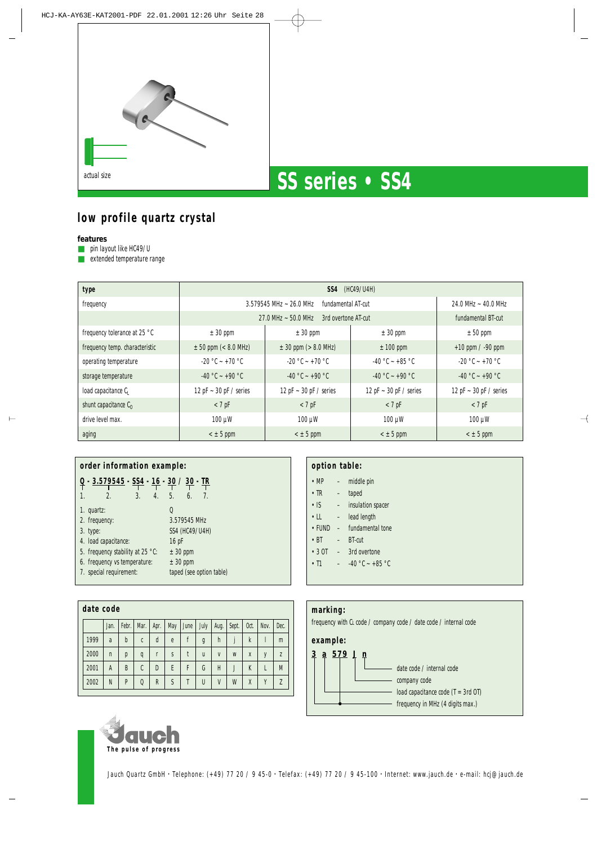

# **low profile quartz crystal**

**features**

■ pin layout like HC49/U

■ extended temperature range

| type                           | <b>SS4</b> (HC49/U4H)          |                                    |                             |                             |  |  |  |  |  |
|--------------------------------|--------------------------------|------------------------------------|-----------------------------|-----------------------------|--|--|--|--|--|
| frequency                      | $3.579545$ MHz $\sim$ 26.0 MHz | $24.0$ MHz $\sim$ 40.0 MHz         |                             |                             |  |  |  |  |  |
|                                | 27.0 MHz $\sim$ 50.0 MHz       | fundamental BT-cut                 |                             |                             |  |  |  |  |  |
| frequency tolerance at 25 °C   | $\pm$ 30 ppm                   | $\pm$ 30 ppm                       | $± 50$ ppm                  |                             |  |  |  |  |  |
| frequency temp. characteristic | $\pm$ 50 ppm (< 8.0 MHz)       | $\pm$ 30 ppm ( $> 8.0$ MHz)        | $± 100$ ppm                 | $+10$ ppm $/ -90$ ppm       |  |  |  |  |  |
| operating temperature          | $-20$ °C ~ +70 °C              | $-20$ °C ~ +70 °C                  | $-40$ °C ~ +85 °C           | $-20$ °C ~ +70 °C           |  |  |  |  |  |
| storage temperature            | $-40$ °C $- +90$ °C            | $-40$ °C $- +90$ °C                | $-40$ °C ~ +90 °C           | $-40$ °C $- +90$ °C         |  |  |  |  |  |
| load capacitance C             | 12 pF $\sim$ 30 pF / series    | 12 pF $\sim$ 30 pF / series        | 12 pF $\sim$ 30 pF / series | 12 pF $\sim$ 30 pF / series |  |  |  |  |  |
| shunt capacitance $C_0$        | $<$ 7 pF                       | $<$ 7 pF                           | $<$ 7 pF                    | $<$ 7 pF                    |  |  |  |  |  |
| drive level max.               | $100 \mu W$                    | $100 \mu W$<br>$100 \mu W$         |                             | $100 \mu W$                 |  |  |  |  |  |
| aging                          | $<$ $\pm$ 5 ppm                | $<$ $\pm$ 5 ppm<br>$<$ $\pm$ 5 ppm |                             |                             |  |  |  |  |  |

| order information example:                          |                       |                  |    |    |    |  |  |  |
|-----------------------------------------------------|-----------------------|------------------|----|----|----|--|--|--|
| <u> - 3.579545 - SS4 - 16 - 30 / 30 - IR</u>        |                       |                  |    |    |    |  |  |  |
| $\mathbf{1}$<br>$\mathfrak{D}$                      | 3.                    | $\overline{4}$ . | 5. | 6. | 7. |  |  |  |
| 1. quartz:                                          |                       |                  | 0  |    |    |  |  |  |
| 2. frequency:                                       | 3.579545 MHz          |                  |    |    |    |  |  |  |
| 3. type:                                            | <b>SS4 (HC49/U4H)</b> |                  |    |    |    |  |  |  |
| 4. load capacitance:<br>16 pF                       |                       |                  |    |    |    |  |  |  |
| 5. frequency stability at 25 °C:<br>$± 30$ ppm      |                       |                  |    |    |    |  |  |  |
| 6. frequency vs temperature:<br>$± 30$ ppm          |                       |                  |    |    |    |  |  |  |
| 7. special requirement:<br>taped (see option table) |                       |                  |    |    |    |  |  |  |

|      | date code |              |       |              |      |     |      |              |              |       |              |      |                |
|------|-----------|--------------|-------|--------------|------|-----|------|--------------|--------------|-------|--------------|------|----------------|
|      |           | Jan.         | Febr. | Mar.         | Apr. | May | June | July         | Aug.         | Sept. | Oct.         | Nov. | Dec.           |
| 1999 |           | a            | b     | C            | d    | e   |      | g            | h            |       | $\mathsf{k}$ |      | m              |
| 2000 |           | $\mathsf{n}$ | p     | q            | r    | S   |      | u            | $\mathsf{V}$ | W     | X            | v    | $\overline{7}$ |
| 2001 |           | A            | B     | C            | D    | F   | F    | G            | Н            | J     | K            |      | M              |
| 2002 |           | N            | P     | $\mathbf{0}$ | R    | S   |      | $\mathsf{U}$ | V            | W     | X            | V    | $\overline{7}$ |

| option table:  |  |                                   |  |  |  |  |
|----------------|--|-----------------------------------|--|--|--|--|
|                |  | $\cdot$ MP $-$ middle pin         |  |  |  |  |
| $\cdot$ TR $-$ |  | taped                             |  |  |  |  |
|                |  | • IS - insulation spacer          |  |  |  |  |
|                |  | $\cdot$ LL $-$ lead length        |  |  |  |  |
|                |  | $\cdot$ FUND $-$ fundamental tone |  |  |  |  |
| $\cdot$ BT     |  | $-$ BT-cut                        |  |  |  |  |
|                |  | $\cdot$ 3 OT $-$ 3rd overtone     |  |  |  |  |
|                |  | • $11 - 40$ °C ~ +85 °C           |  |  |  |  |
|                |  |                                   |  |  |  |  |